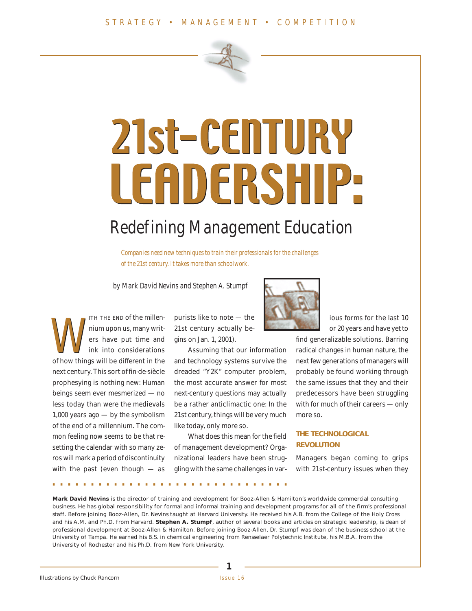

# 21st-CENTURY LEADERSHIP

## Redefining Management Education

*Companies need new techniques to train their professionals for the challenges of the 21st century. It takes more than schoolwork.*

by Mark David Nevins and Stephen A. Stumpf

ITH THE END of the millennium upon us, many writers have put time and ink into considerations TH THE END of the millen-<br>mium upon us, many writ-<br>ers have put time and<br>ink into considerations<br>of how things will be different in the next century. This sort of fin-de-siècle prophesying is nothing new: Human beings seem ever mesmerized — no less today than were the medievals 1,000 years ago — by the symbolism of the end of a millennium. The common feeling now seems to be that resetting the calendar with so many zeros will mark a period of discontinuity with the past (even though  $-$  as

purists like to note — the 21st century actually begins on Jan. 1, 2001).

Assuming that our information and technology systems survive the dreaded "Y2K" computer problem, the most accurate answer for most next-century questions may actually be a rather anticlimactic one: In the 21st century, things will be very much like today, only more so.

What does this mean for the field of management development? Organizational leaders have been struggling with the same challenges in var-



ious forms for the last 10 or 20 years and have yet to

find generalizable solutions. Barring radical changes in human nature, the next few generations of managers will probably be found working through the same issues that they and their predecessors have been struggling with for much of their careers — only more so.

#### **THE TECHNOLOGICAL REVOLUTION**

Managers began coming to grips with 21st-century issues when they

**...............................**

**Mark David Nevins** is the director of training and development for Booz-Allen & Hamilton's worldwide commercial consulting business. He has global responsibility for formal and informal training and development programs for all of the firm's professional staff. Before joining Booz-Allen, Dr. Nevins taught at Harvard University. He received his A.B. from the College of the Holy Cross and his A.M. and Ph.D. from Harvard. **Stephen A. Stumpf**, author of several books and articles on strategic leadership, is dean of professional development at Booz-Allen & Hamilton. Before joining Booz-Allen, Dr. Stumpf was dean of the business school at the University of Tampa. He earned his B.S. in chemical engineering from Rensselaer Polytechnic Institute, his M.B.A. from the University of Rochester and his Ph.D. from New York University.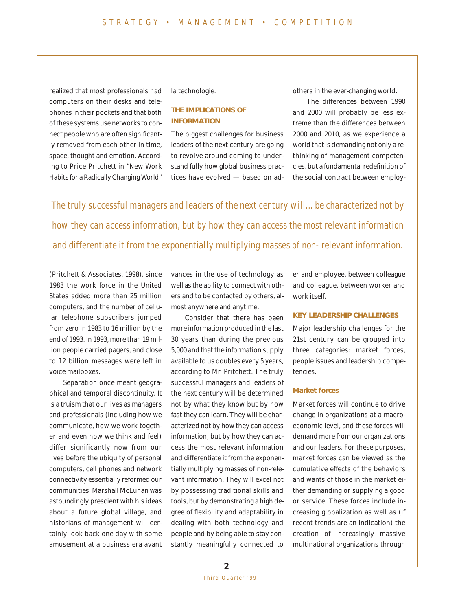realized that most professionals had computers on their desks and telephones in their pockets and that both of these systems use networks to connect people who are often significantly removed from each other in time, space, thought and emotion. According to Price Pritchett in "New Work Habits for a Radically Changing World"

la technologie.

#### **THE IMPLICATIONS OF INFORMATION**

The biggest challenges for business leaders of the next century are going to revolve around coming to understand fully how global business practices have evolved — based on adothers in the ever-changing world.

The differences between 1990 and 2000 will probably be less extreme than the differences between 2000 and 2010, as we experience a world that is demanding not only a rethinking of management competencies, but a fundamental redefinition of the social contract between employ-

The truly successful managers and leaders of the next century will… be characterized not by how they can access information, but by how they can access the most relevant information and differentiate it from the exponentially multiplying masses of non-relevant information.

(Pritchett & Associates, 1998), since 1983 the work force in the United States added more than 25 million computers, and the number of cellular telephone subscribers jumped from zero in 1983 to 16 million by the end of 1993. In 1993, more than 19 million people carried pagers, and close to 12 billion messages were left in voice mailboxes.

Separation once meant geographical and temporal discontinuity. It is a truism that our lives as managers and professionals (including how we communicate, how we work together and even how we think and feel) differ significantly now from our lives before the ubiquity of personal computers, cell phones and network connectivity essentially reformed our communities. Marshall McLuhan was astoundingly prescient with his ideas about a future global village, and historians of management will certainly look back one day with some amusement at a business era avant

vances in the use of technology as well as the ability to connect with others and to be contacted by others, almost anywhere and anytime.

Consider that there has been more information produced in the last 30 years than during the previous 5,000 and that the information supply available to us doubles every 5 years, according to Mr. Pritchett. The truly successful managers and leaders of the next century will be determined not by what they know but by how fast they can learn. They will be characterized not by how they can access information, but by how they can access the most relevant information and differentiate it from the exponentially multiplying masses of non-relevant information. They will excel not by possessing traditional skills and tools, but by demonstrating a high degree of flexibility and adaptability in dealing with both technology and people and by being able to stay constantly meaningfully connected to er and employee, between colleague and colleague, between worker and work itself.

#### **KEY LEADERSHIP CHALLENGES**

Major leadership challenges for the 21st century can be grouped into three categories: market forces, people issues and leadership competencies.

#### **Market forces**

Market forces will continue to drive change in organizations at a macroeconomic level, and these forces will demand more from our organizations and our leaders. For these purposes, market forces can be viewed as the cumulative effects of the behaviors and wants of those in the market either demanding or supplying a good or service. These forces include increasing globalization as well as (if recent trends are an indication) the creation of increasingly massive multinational organizations through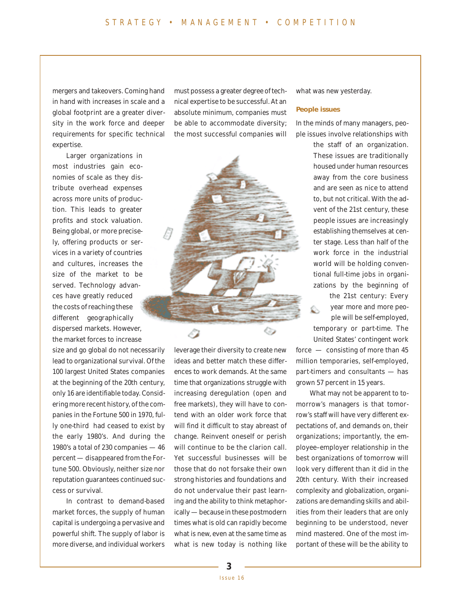mergers and takeovers. Coming hand in hand with increases in scale and a global footprint are a greater diversity in the work force and deeper requirements for specific technical expertise.

Larger organizations in most industries gain economies of scale as they distribute overhead expenses across more units of production. This leads to greater profits and stock valuation. Being global, or more precisely, offering products or services in a variety of countries and cultures, increases the size of the market to be served. Technology advances have greatly reduced the costs of reaching these different geographically dispersed markets. However, the market forces to increase

size and go global do not necessarily lead to organizational survival. Of the 100 largest United States companies at the beginning of the 20th century, only 16 are identifiable today. Considering more recent history, of the companies in the Fortune 500 in 1970, fully one-third had ceased to exist by the early 1980's. And during the 1980's a total of 230 companies — 46 percent — disappeared from the Fortune 500. Obviously, neither size nor reputation guarantees continued success or survival.

In contrast to demand-based market forces, the supply of human capital is undergoing a pervasive and powerful shift. The supply of labor is more diverse, and individual workers

must possess a greater degree of technical expertise to be successful. At an absolute minimum, companies must be able to accommodate diversity; the most successful companies will



leverage their diversity to create new ideas and better match these differences to work demands. At the same time that organizations struggle with increasing deregulation (open and free markets), they will have to contend with an older work force that will find it difficult to stay abreast of change. Reinvent oneself or perish will continue to be the clarion call. Yet successful businesses will be those that do not forsake their own strong histories and foundations and do not undervalue their past learning and the ability to think metaphorically — because in these postmodern times what is old can rapidly become what is new, even at the same time as what is new today is nothing like

what was new yesterday.

#### **People issues**

In the minds of many managers, people issues involve relationships with

> the staff of an organization. These issues are traditionally housed under human resources away from the core business and are seen as nice to attend to, but not critical. With the advent of the 21st century, these people issues are increasingly establishing themselves at center stage. Less than half of the work force in the industrial world will be holding conventional full-time jobs in organizations by the beginning of

the 21st century: Every year more and more peo-Ó. ple will be self-employed, temporary or part-time. The United States' contingent work force — consisting of more than 45 million temporaries, self-employed, part-timers and consultants — has grown 57 percent in 15 years.

What may not be apparent to tomorrow's managers is that tomorrow's staff will have very different expectations of, and demands on, their organizations; importantly, the employee–employer relationship in the best organizations of tomorrow will look very different than it did in the 20th century. With their increased complexity and globalization, organizations are demanding skills and abilities from their leaders that are only beginning to be understood, never mind mastered. One of the most important of these will be the ability to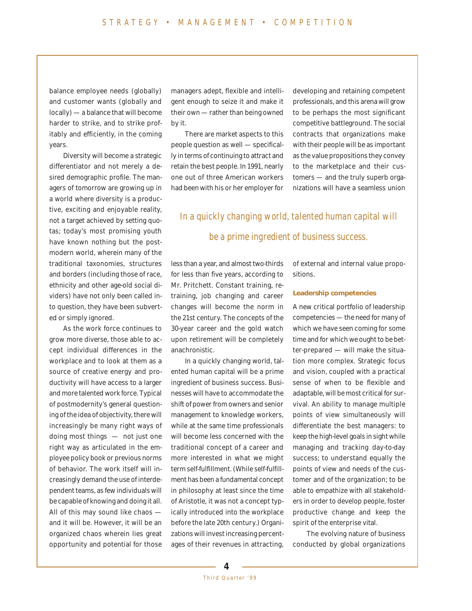balance employee needs (globally) and customer wants (globally and locally) — a balance that will become harder to strike, and to strike profitably and efficiently, in the coming years.

Diversity will become a strategic differentiator and not merely a desired demographic profile. The managers of tomorrow are growing up in a world where diversity is a productive, exciting and enjoyable reality, not a target achieved by setting quotas; today's most promising youth have known nothing but the postmodern world, wherein many of the traditional taxonomies, structures and borders (including those of race, ethnicity and other age-old social dividers) have not only been called into question, they have been subverted or simply ignored.

As the work force continues to grow more diverse, those able to accept individual differences in the workplace and to look at them as a source of creative energy and productivity will have access to a larger and more talented work force. Typical of postmodernity's general questioning of the idea of objectivity, there will increasingly be many right ways of doing most things — not just one right way as articulated in the employee policy book or previous norms of behavior. The work itself will increasingly demand the use of interdependent teams, as few individuals will be capable of knowing and doing it all. All of this may sound like chaos and it will be. However, it will be an organized chaos wherein lies great opportunity and potential for those

managers adept, flexible and intelligent enough to seize it and make it their own — rather than being owned by it.

There are market aspects to this people question as well — specifically in terms of continuing to attract and retain the best people. In 1991, nearly one out of three American workers had been with his or her employer for

developing and retaining competent professionals, and this arena will grow to be perhaps the most significant competitive battleground. The social contracts that organizations make with their people will be as important as the value propositions they convey to the marketplace and their customers — and the truly superb organizations will have a seamless union

### In a quickly changing world, talented human capital will be a prime ingredient of business success.

less than a year, and almost two-thirds for less than five years, according to Mr. Pritchett. Constant training, retraining, job changing and career changes will become the norm in the 21st century. The concepts of the 30-year career and the gold watch upon retirement will be completely anachronistic.

In a quickly changing world, talented human capital will be a prime ingredient of business success. Businesses will have to accommodate the shift of power from owners and senior management to knowledge workers, while at the same time professionals will become less concerned with the traditional concept of a career and more interested in what we might term self-fulfillment. (While self-fulfillment has been a fundamental concept in philosophy at least since the time of Aristotle, it was not a concept typically introduced into the workplace before the late 20th century.) Organizations will invest increasing percentages of their revenues in attracting, of external and internal value propositions.

#### **Leadership competencies**

A new critical portfolio of leadership competencies — the need for many of which we have seen coming for some time and for which we ought to be better-prepared — will make the situation more complex. Strategic focus and vision, coupled with a practical sense of when to be flexible and adaptable, will be most critical for survival. An ability to manage multiple points of view simultaneously will differentiate the best managers: to keep the high-level goals in sight while managing and tracking day-to-day success; to understand equally the points of view and needs of the customer and of the organization; to be able to empathize with all stakeholders in order to develop people, foster productive change and keep the spirit of the enterprise vital.

The evolving nature of business conducted by global organizations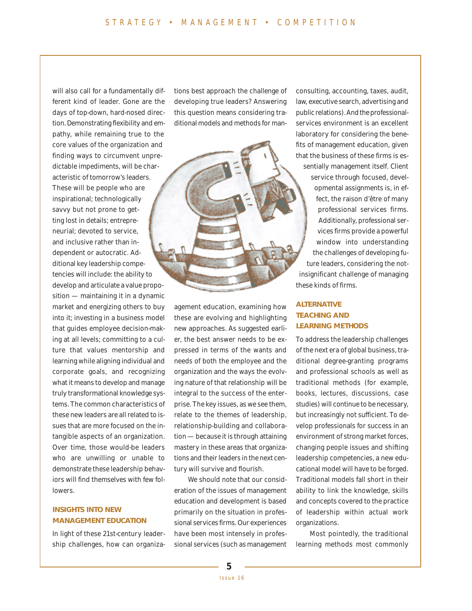will also call for a fundamentally different kind of leader. Gone are the days of top-down, hard-nosed direction. Demonstrating flexibility and empathy, while remaining true to the core values of the organization and finding ways to circumvent unpredictable impediments, will be characteristic of tomorrow's leaders. These will be people who are inspirational; technologically savvy but not prone to getting lost in details; entrepreneurial; devoted to service, and inclusive rather than independent or autocratic. Additional key leadership competencies will include: the ability to develop and articulate a value propo-

sition — maintaining it in a dynamic market and energizing others to buy into it; investing in a business model that guides employee decision-making at all levels; committing to a culture that values mentorship and learning while aligning individual and corporate goals, and recognizing what it means to develop and manage truly transformational knowledge systems. The common characteristics of these new leaders are all related to issues that are more focused on the intangible aspects of an organization. Over time, those would-be leaders who are unwilling or unable to demonstrate these leadership behaviors will find themselves with few followers.

#### **INSIGHTS INTO NEW MANAGEMENT EDUCATION**

In light of these 21st-century leadership challenges, how can organizations best approach the challenge of developing true leaders? Answering this question means considering traditional models and methods for man-

agement education, examining how these are evolving and highlighting new approaches. As suggested earlier, the best answer needs to be expressed in terms of the wants and needs of both the employee and the organization and the ways the evolving nature of that relationship will be integral to the success of the enterprise. The key issues, as we see them, relate to the themes of leadership, relationship-building and collaboration — because it is through attaining mastery in these areas that organizations and their leaders in the next century will survive and flourish.

We should note that our consideration of the issues of management education and development is based primarily on the situation in professional services firms. Our experiences have been most intensely in professional services (such as management consulting, accounting, taxes, audit, law, executive search, advertising and public relations). And the professionalservices environment is an excellent laboratory for considering the benefits of management education, given that the business of these firms is essentially management itself. Client service through focused, developmental assignments is, in effect, the raison d'être of many professional services firms. Additionally, professional services firms provide a powerful window into understanding the challenges of developing future leaders, considering the notinsignificant challenge of managing these kinds of firms.

#### **ALTERNATIVE TEACHING AND LEARNING METHODS**

To address the leadership challenges of the next era of global business, traditional degree-granting programs and professional schools as well as traditional methods (for example, books, lectures, discussions, case studies) will continue to be necessary, but increasingly not sufficient. To develop professionals for success in an environment of strong market forces, changing people issues and shifting leadership competencies, a new educational model will have to be forged. Traditional models fall short in their ability to link the knowledge, skills and concepts covered to the practice of leadership within actual work organizations.

Most pointedly, the traditional learning methods most commonly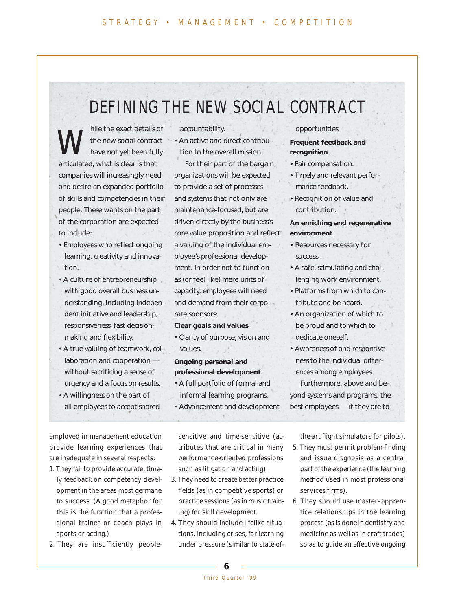## DEFINING THE NEW SOCIAL CONTRACT

hile the exact details of the new social contract have not yet been fully articulated, what is clear is that companies will increasingly need and desire an expanded portfolio of skills and competencies in their people. These wants on the part of the corporation are expected to include: W

- Employees who reflect ongoing learning, creativity and innovation.
- A culture of entrepreneurship with good overall business understanding, including independent initiative and leadership, responsiveness, fast decisionmaking and flexibility.
- A true valuing of teamwork, collaboration and cooperation without sacrificing a sense of urgency and a focus on results.
- A willingness on the part of all employees to accept shared

employed in management education provide learning experiences that are inadequate in several respects:

- 1. They fail to provide accurate, timely feedback on competency development in the areas most germane to success. (A good metaphor for this is the function that a professional trainer or coach plays in sports or acting.)
- 2. They are insufficiently people-

accountability. • An active and direct contribu-

tion to the overall mission. For their part of the bargain, organizations will be expected to provide a set of processes and systems that not only are maintenance-focused, but are driven directly by the business's core value proposition and reflect a valuing of the individual employee's professional development. In order not to function as (or feel like) mere units of capacity, employees will need and demand from their corporate sponsors:

#### **Clear goals and values**

• Clarity of purpose, vision and values.

#### **Ongoing personal and professional development**

- A full portfolio of formal and informal learning programs.
- Advancement and development

sensitive and time-sensitive (attributes that are critical in many performance-oriented professions such as litigation and acting).

- 3. They need to create better practice fields (as in competitive sports) or practice sessions (as in music training) for skill development.
- 4. They should include lifelike situations, including crises, for learning under pressure (similar to state-of-

#### opportunities.

**Frequent feedback and recognition**

- Fair compensation.
- Timely and relevant performance feedback.
- Recognition of value and contribution.

#### **An enriching and regenerative environment**

- Resources necessary for success.
- A safe, stimulating and challenging work environment.
- Platforms from which to contribute and be heard.
- An organization of which to be proud and to which to dedicate oneself.
- Awareness of and responsiveness to the individual differences among employees.

Furthermore, above and beyond systems and programs, the best employees — if they are to

the-art flight simulators for pilots).

- 5. They must permit problem-finding and issue diagnosis as a central part of the experience (the learning method used in most professional services firms).
- 6. They should use master–apprentice relationships in the learning process (as is done in dentistry and medicine as well as in craft trades) so as to guide an effective ongoing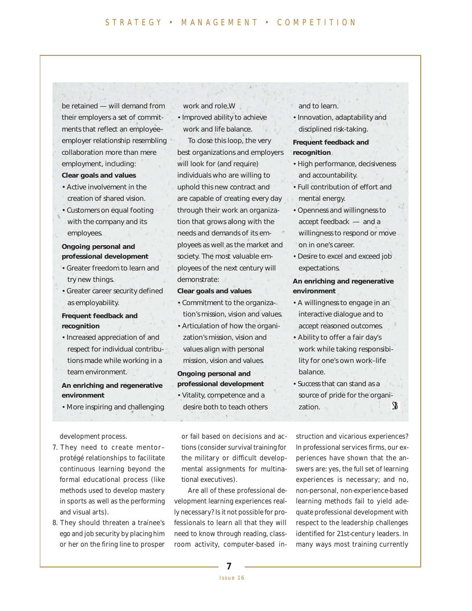be retained — will demand from their employers a set of commitments that reflect an employee– employer relationship resembling collaboration more than mere employment, including: **Clear goals and values**

- Active involvement in the creation of shared vision.
- Customers on equal footing with the company and its employees.

#### **Ongoing personal and professional development**

- Greater freedom to learn and try new things.
- Greater career security defined as employability.

#### **Frequent feedback and recognition**

• Increased appreciation of and respect for individual contributions made while working in a team environment.

#### **An enriching and regenerative environment**

• More inspiring and challenging

development process.

- 7. They need to create mentor– protégé relationships to facilitate continuous learning beyond the formal educational process (like methods used to develop mastery in sports as well as the performing and visual arts).
- 8. They should threaten a trainee's ego and job security by placing him or her on the firing line to prosper

work and role.W

• Improved ability to achieve work and life balance.

To close this loop, the very best organizations and employers will look for (and require) individuals who are willing to uphold this new contract and are capable of creating every day through their work an organization that grows along with the needs and demands of its employees as well as the market and society. The most valuable employees of the next century will demonstrate:

#### **Clear goals and values**

- Commitment to the organization's mission, vision and values.
- Articulation of how the organization's mission, vision and values align with personal mission, vision and values.

#### **Ongoing personal and professional development**

• Vitality, competence and a desire both to teach others

or fail based on decisions and actions (consider survival training for the military or difficult developmental assignments for multinational executives).

Are all of these professional development learning experiences really necessary? Is it not possible for professionals to learn all that they will need to know through reading, classroom activity, computer-based inand to learn.

• Innovation, adaptability and disciplined risk-taking.

#### **Frequent feedback and recognition**

- High performance, decisiveness and accountability.
- Full contribution of effort and mental energy.
- Openness and willingness to accept feedback — and a willingness to respond or move on in one's career.
- Desire to excel and exceed job expectations.

#### **An enriching and regenerative environment**

- A willingness to engage in an interactive dialogue and to accept reasoned outcomes.
- Ability to offer a fair day's work while taking responsibility for one's own work–life balance.
- Success that can stand as a source of pride for the organization.

struction and vicarious experiences? In professional services firms, our experiences have shown that the answers are: yes, the full set of learning experiences is necessary; and no, non-personal, non-experience-based learning methods fail to yield adequate professional development with respect to the leadership challenges identified for 21st-century leaders. In many ways most training currently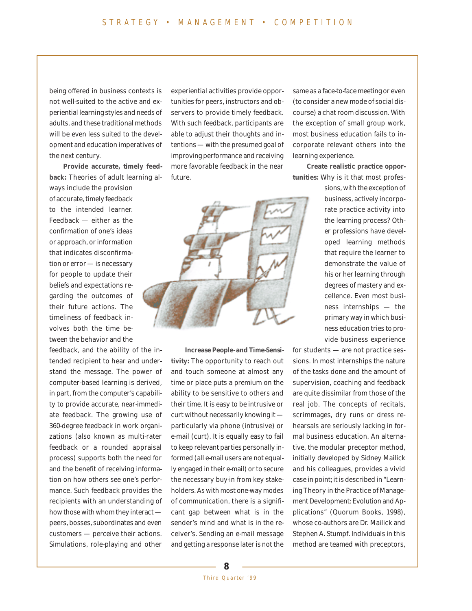being offered in business contexts is not well-suited to the active and experiential learning styles and needs of adults, and these traditional methods will be even less suited to the development and education imperatives of the next century.

**Provide accurate, timely feedback:** Theories of adult learning always include the provision of accurate, timely feedback to the intended learner. Feedback — either as the confirmation of one's ideas or approach, or information that indicates disconfirmation or error — is necessary for people to update their beliefs and expectations regarding the outcomes of their future actions. The timeliness of feedback involves both the time between the behavior and the

feedback, and the ability of the intended recipient to hear and understand the message. The power of computer-based learning is derived, in part, from the computer's capability to provide accurate, near-immediate feedback. The growing use of 360-degree feedback in work organizations (also known as multi-rater feedback or a rounded appraisal process) supports both the need for and the benefit of receiving information on how others see one's performance. Such feedback provides the recipients with an understanding of how those with whom they interact peers, bosses, subordinates and even customers — perceive their actions. Simulations, role-playing and other

experiential activities provide opportunities for peers, instructors and observers to provide timely feedback. With such feedback, participants are able to adjust their thoughts and intentions — with the presumed goal of improving performance and receiving more favorable feedback in the near future.



**Increase People- and Time-Sensitivity:** The opportunity to reach out and touch someone at almost any time or place puts a premium on the ability to be sensitive to others and their time. It is easy to be intrusive or curt without necessarily knowing it particularly via phone (intrusive) or e-mail (curt). It is equally easy to fail to keep relevant parties personally informed (all e-mail users are not equally engaged in their e-mail) or to secure the necessary buy-in from key stakeholders. As with most one-way modes of communication, there is a significant gap between what is in the sender's mind and what is in the receiver's. Sending an e-mail message and getting a response later is not the same as a face-to-face meeting or even (to consider a new mode of social discourse) a chat room discussion. With the exception of small group work, most business education fails to incorporate relevant others into the learning experience.

**Create realistic practice opportunities:** Why is it that most profes-

> sions, with the exception of business, actively incorporate practice activity into the learning process? Other professions have developed learning methods that require the learner to demonstrate the value of his or her learning through degrees of mastery and excellence. Even most business internships — the primary way in which business education tries to provide business experience

for students — are not practice sessions. In most internships the nature of the tasks done and the amount of supervision, coaching and feedback are quite dissimilar from those of the real job. The concepts of recitals, scrimmages, dry runs or dress rehearsals are seriously lacking in formal business education. An alternative, the modular preceptor method, initially developed by Sidney Mailick and his colleagues, provides a vivid case in point; it is described in "Learning Theory in the Practice of Management Development: Evolution and Applications" (Quorum Books, 1998), whose co-authors are Dr. Mailick and Stephen A. Stumpf. Individuals in this method are teamed with preceptors,

**8**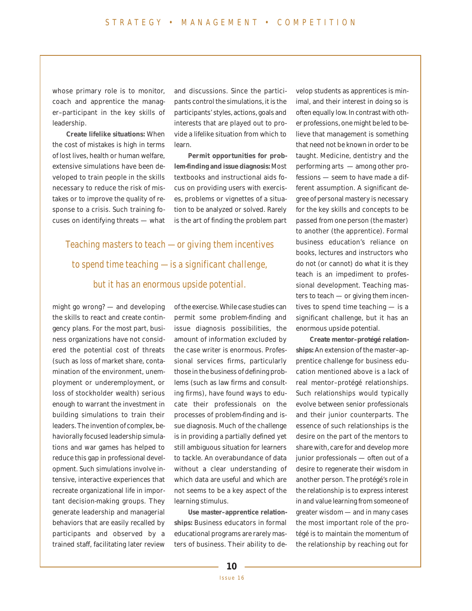whose primary role is to monitor, coach and apprentice the manager–participant in the key skills of leadership.

**Create lifelike situations:** When the cost of mistakes is high in terms of lost lives, health or human welfare, extensive simulations have been developed to train people in the skills necessary to reduce the risk of mistakes or to improve the quality of response to a crisis. Such training focuses on identifying threats — what

and discussions. Since the participants control the simulations, it is the participants' styles, actions, goals and interests that are played out to provide a lifelike situation from which to learn.

**Permit opportunities for problem-finding and issue diagnosis:** Most textbooks and instructional aids focus on providing users with exercises, problems or vignettes of a situation to be analyzed or solved. Rarely is the art of finding the problem part

Teaching masters to teach — or giving them incentives to spend time teaching — is a significant challenge, but it has an enormous upside potential.

might go wrong? — and developing the skills to react and create contingency plans. For the most part, business organizations have not considered the potential cost of threats (such as loss of market share, contamination of the environment, unemployment or underemployment, or loss of stockholder wealth) serious enough to warrant the investment in building simulations to train their leaders. The invention of complex, behaviorally focused leadership simulations and war games has helped to reduce this gap in professional development. Such simulations involve intensive, interactive experiences that recreate organizational life in important decision-making groups. They generate leadership and managerial behaviors that are easily recalled by participants and observed by a trained staff, facilitating later review

of the exercise. While case studies can permit some problem-finding and issue diagnosis possibilities, the amount of information excluded by the case writer is enormous. Professional services firms, particularly those in the business of defining problems (such as law firms and consulting firms), have found ways to educate their professionals on the processes of problem-finding and issue diagnosis. Much of the challenge is in providing a partially defined yet still ambiguous situation for learners to tackle. An overabundance of data without a clear understanding of which data are useful and which are not seems to be a key aspect of the learning stimulus.

**Use master–apprentice relationships:** Business educators in formal educational programs are rarely masters of business. Their ability to develop students as apprentices is minimal, and their interest in doing so is often equally low. In contrast with other professions, one might be led to believe that management is something that need not be known in order to be taught. Medicine, dentistry and the performing arts — among other professions — seem to have made a different assumption. A significant degree of personal mastery is necessary for the key skills and concepts to be passed from one person (the master) to another (the apprentice). Formal business education's reliance on books, lectures and instructors who do not (or cannot) do what it is they teach is an impediment to professional development. Teaching masters to teach — or giving them incentives to spend time teaching — is a significant challenge, but it has an enormous upside potential.

**Create mentor–protégé relationships:** An extension of the master–apprentice challenge for business education mentioned above is a lack of real mentor–protégé relationships. Such relationships would typically evolve between senior professionals and their junior counterparts. The essence of such relationships is the desire on the part of the mentors to share with, care for and develop more junior professionals — often out of a desire to regenerate their wisdom in another person. The protégé's role in the relationship is to express interest in and value learning from someone of greater wisdom — and in many cases the most important role of the protégé is to maintain the momentum of the relationship by reaching out for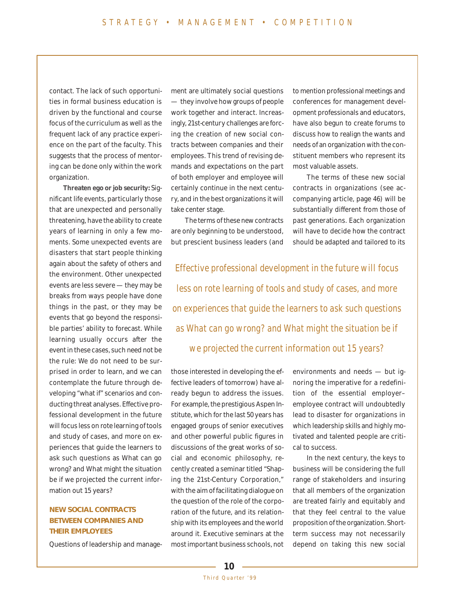contact. The lack of such opportunities in formal business education is driven by the functional and course focus of the curriculum as well as the frequent lack of any practice experience on the part of the faculty. This suggests that the process of mentoring can be done only within the work organization.

**Threaten ego or job security:** Significant life events, particularly those that are unexpected and personally threatening, have the ability to create years of learning in only a few moments. Some unexpected events are disasters that start people thinking again about the safety of others and the environment. Other unexpected events are less severe — they may be breaks from ways people have done things in the past, or they may be events that go beyond the responsible parties' ability to forecast. While learning usually occurs after the event in these cases, such need not be the rule: We do not need to be surprised in order to learn, and we can contemplate the future through developing "what if" scenarios and conducting threat analyses. Effective professional development in the future will focus less on rote learning of tools and study of cases, and more on experiences that guide the learners to ask such questions as What can go wrong? and What might the situation be if we projected the current information out 15 years?

#### **NEW SOCIAL CONTRACTS BETWEEN COMPANIES AND THEIR EMPLOYEES**

Questions of leadership and manage-

ment are ultimately social questions — they involve how groups of people work together and interact. Increasingly, 21st-century challenges are forcing the creation of new social contracts between companies and their employees. This trend of revising demands and expectations on the part of both employer and employee will certainly continue in the next century, and in the best organizations it will take center stage.

The terms of these new contracts are only beginning to be understood, but prescient business leaders (and to mention professional meetings and conferences for management development professionals and educators, have also begun to create forums to discuss how to realign the wants and needs of an organization with the constituent members who represent its most valuable assets.

The terms of these new social contracts in organizations (see accompanying article, page 46) will be substantially different from those of past generations. Each organization will have to decide how the contract should be adapted and tailored to its

Effective professional development in the future will focus less on rote learning of tools and study of cases, and more on experiences that guide the learners to ask such questions as What can go wrong? and What might the situation be if we projected the current information out 15 years?

those interested in developing the effective leaders of tomorrow) have already begun to address the issues. For example, the prestigious Aspen Institute, which for the last 50 years has engaged groups of senior executives and other powerful public figures in discussions of the great works of social and economic philosophy, recently created a seminar titled "Shaping the 21st-Century Corporation," with the aim of facilitating dialogue on the question of the role of the corporation of the future, and its relationship with its employees and the world around it. Executive seminars at the most important business schools, not environments and needs — but ignoring the imperative for a redefinition of the essential employer– employee contract will undoubtedly lead to disaster for organizations in which leadership skills and highly motivated and talented people are critical to success.

In the next century, the keys to business will be considering the full range of stakeholders and insuring that all members of the organization are treated fairly and equitably and that they feel central to the value proposition of the organization. Shortterm success may not necessarily depend on taking this new social